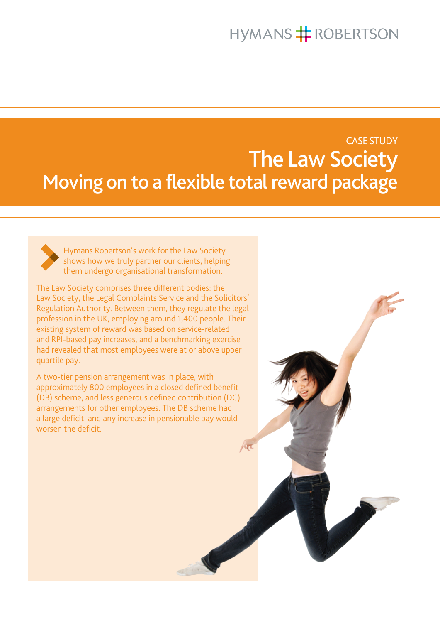# **HYMANS # ROBERTSON**

# CASE STUDY The Law Society Moving on to a flexible total reward package

何



Hymans Robertson's work for the Law Society shows how we truly partner our clients, helping them undergo organisational transformation.

The Law Society comprises three different bodies: the Law Society, the Legal Complaints Service and the Solicitors' Regulation Authority. Between them, they regulate the legal profession in the UK, employing around 1,400 people. Their existing system of reward was based on service-related and RPI-based pay increases, and a benchmarking exercise had revealed that most employees were at or above upper quartile pay.

A two-tier pension arrangement was in place, with approximately 800 employees in a closed defined benefit (DB) scheme, and less generous defined contribution (DC) arrangements for other employees. The DB scheme had a large deficit, and any increase in pensionable pay would worsen the deficit.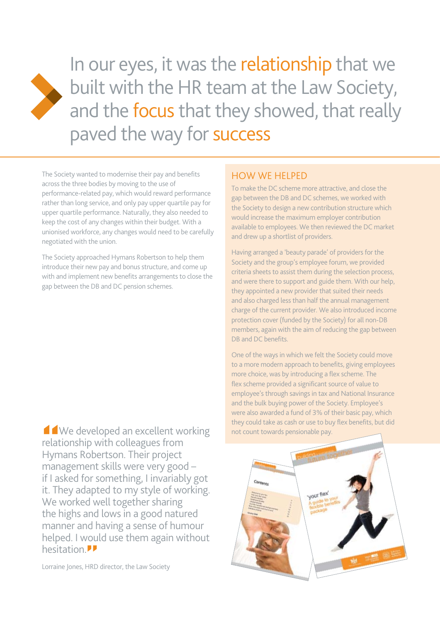

In our eyes, it was the relationship that we built with the HR team at the Law Society, and the focus that they showed, that really paved the way for success

The Society wanted to modernise their pay and benefits across the three bodies by moving to the use of performance-related pay, which would reward performance rather than long service, and only pay upper quartile pay for upper quartile performance. Naturally, they also needed to keep the cost of any changes within their budget. With a unionised workforce, any changes would need to be carefully negotiated with the union.

The Society approached Hymans Robertson to help them introduce their new pay and bonus structure, and come up with and implement new benefits arrangements to close the gap between the DB and DC pension schemes.

■ We developed an excellent worki<br>
relationship with colleagues from<br>
Hymans Robertson. Their project<br>
management skills were very good – We developed an excellent working relationship with colleagues from Hymans Robertson. Their project if I asked for something, I invariably got it. They adapted to my style of working. We worked well together sharing the highs and lows in a good natured manner and having a sense of humour helped. I would use them again without hesitation.<br>
Lorraine Jones, HRD

Lorraine Jones, HRD director, the Law Society

## How we helped

To make the DC scheme more attractive, and close the gap between the DB and DC schemes, we worked with the Society to design a new contribution structure which would increase the maximum employer contribution available to employees. We then reviewed the DC market and drew up a shortlist of providers.

Having arranged a 'beauty parade' of providers for the Society and the group's employee forum, we provided criteria sheets to assist them during the selection process, and were there to support and guide them. With our help, they appointed a new provider that suited their needs and also charged less than half the annual management charge of the current provider. We also introduced income protection cover (funded by the Society) for all non-DB members, again with the aim of reducing the gap between DB and DC benefits.

One of the ways in which we felt the Society could move to a more modern approach to benefits, giving employees more choice, was by introducing a flex scheme. The flex scheme provided a significant source of value to employee's through savings in tax and National Insurance and the bulk buying power of the Society. Employee's were also awarded a fund of 3% of their basic pay, which they could take as cash or use to buy flex benefits, but did not count towards pensionable pay.

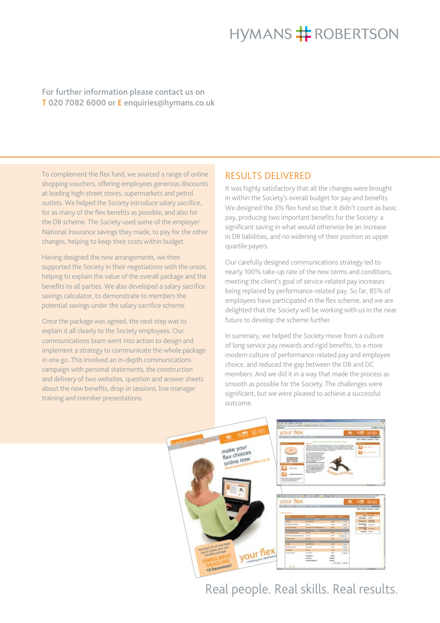# **HYMANS # ROBERTSON**

### For further information please contact us on T 020 7082 6000 or E enquiries@hymans.co.uk

To complement the flex fund, we sourced a range of online shopping vouchers, offering employees generous discounts at leading high-street stores, supermarkets and petrol outlets. We helped the Society introduce salary sacrifice, for as many of the flex benefits as possible, and also for the DB scheme. The Society used some of the employer National Insurance savings they made, to pay for the other changes, helping to keep their costs within budget.

Having designed the new arrangements, we then supported the Society in their negotiations with the union, helping to explain the value of the overall package and the benefits to all parties. We also developed a salary sacrifice savings calculator, to demonstrate to members the potential savings under the salary sacrifice scheme.

Once the package was agreed, the next step was to explain it all clearly to the Society employees. Our communications team went into action to design and implement a strategy to communicate the whole package in one go. This involved an in-depth communications campaign with personal statements, the construction and delivery of two websites, question and answer sheets about the new benefits, drop-in sessions, line manager training and member presentations.

## RESULTS DELIVERED

It was highly satisfactory that all the changes were brought in within the Society's overall budget for pay and benefits. We designed the 3% flex fund so that it didn't count as basic pay, producing two important benefits for the Society: a significant saving in what would otherwise be an increase in DB liabilities, and no widening of their position as upper quartile payers.

Our carefully designed communications strategy led to nearly 100% take-up rate of the new terms and conditions, meeting the client's goal of service-related pay increases being replaced by performance-related pay. So far, 85% of employees have participated in the flex scheme, and we are delighted that the Society will be working with us in the near future to develop the scheme further.

In summary, we helped the Society move from a culture of long service pay rewards and rigid benefits, to a more modern culture of performance-related pay and employee choice, and reduced the gap between the DB and DC members. And we did it in a way that made the process as smooth as possible for the Society. The challenges were significant, but we were pleased to achieve a successful outcome.



## Real people. Real skills. Real results.